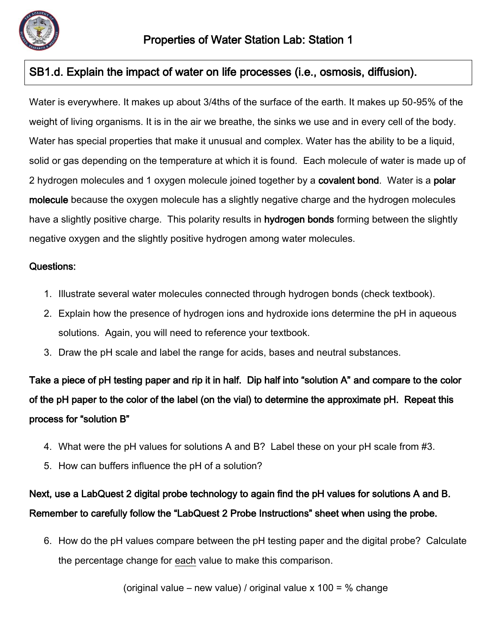

Water is everywhere. It makes up about 3/4ths of the surface of the earth. It makes up 50-95% of the weight of living organisms. It is in the air we breathe, the sinks we use and in every cell of the body. Water has special properties that make it unusual and complex. Water has the ability to be a liquid, solid or gas depending on the temperature at which it is found. Each molecule of water is made up of 2 hydrogen molecules and 1 oxygen molecule joined together by a covalent bond. Water is a polar molecule because the oxygen molecule has a slightly negative charge and the hydrogen molecules have a slightly positive charge. This polarity results in hydrogen bonds forming between the slightly negative oxygen and the slightly positive hydrogen among water molecules.

#### Questions:

- 1. Illustrate several water molecules connected through hydrogen bonds (check textbook).
- 2. Explain how the presence of hydrogen ions and hydroxide ions determine the pH in aqueous solutions. Again, you will need to reference your textbook.
- 3. Draw the pH scale and label the range for acids, bases and neutral substances.

Take a piece of pH testing paper and rip it in half. Dip half into "solution A" and compare to the color of the pH paper to the color of the label (on the vial) to determine the approximate pH. Repeat this process for "solution B"

- 4. What were the pH values for solutions A and B? Label these on your pH scale from #3.
- 5. How can buffers influence the pH of a solution?

# Next, use a LabQuest 2 digital probe technology to again find the pH values for solutions A and B. Remember to carefully follow the "LabQuest 2 Probe Instructions" sheet when using the probe.

6. How do the pH values compare between the pH testing paper and the digital probe? Calculate the percentage change for each value to make this comparison.

(original value – new value) / original value  $x$  100 = % change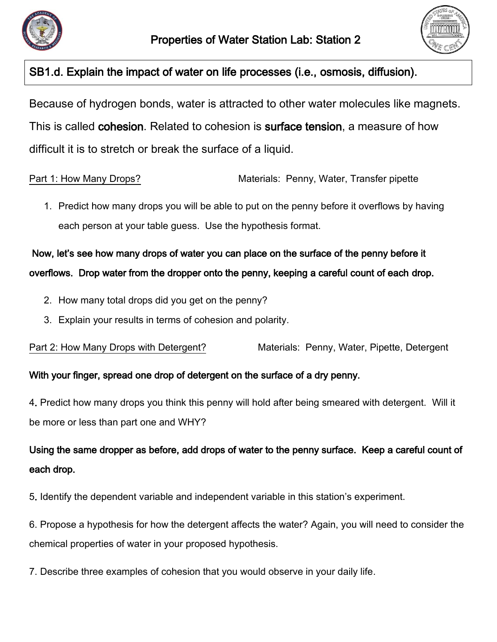



Because of hydrogen bonds, water is attracted to other water molecules like magnets. This is called cohesion. Related to cohesion is surface tension, a measure of how difficult it is to stretch or break the surface of a liquid.

Part 1: How Many Drops? Materials: Penny, Water, Transfer pipette

1. Predict how many drops you will be able to put on the penny before it overflows by having each person at your table guess. Use the hypothesis format.

Now, let's see how many drops of water you can place on the surface of the penny before it overflows. Drop water from the dropper onto the penny, keeping a careful count of each drop.

- 2. How many total drops did you get on the penny?
- 3. Explain your results in terms of cohesion and polarity.

Part 2: How Many Drops with Detergent? Materials: Penny, Water, Pipette, Detergent

#### With your finger, spread one drop of detergent on the surface of a dry penny.

4. Predict how many drops you think this penny will hold after being smeared with detergent. Will it be more or less than part one and WHY?

# Using the same dropper as before, add drops of water to the penny surface. Keep a careful count of each drop.

5. Identify the dependent variable and independent variable in this station's experiment.

6. Propose a hypothesis for how the detergent affects the water? Again, you will need to consider the chemical properties of water in your proposed hypothesis.

7. Describe three examples of cohesion that you would observe in your daily life.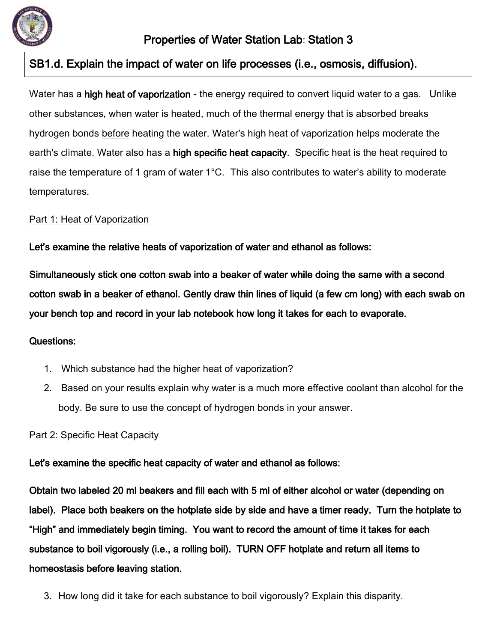

Water has a high heat of vaporization - the energy required to convert liquid water to a gas. Unlike other substances, when water is heated, much of the thermal energy that is absorbed breaks hydrogen bonds before heating the water. Water's high heat of vaporization helps moderate the earth's climate. Water also has a high specific heat capacity. Specific heat is the heat required to raise the temperature of 1 gram of water 1°C. This also contributes to water's ability to moderate temperatures.

#### Part 1: Heat of Vaporization

Let's examine the relative heats of vaporization of water and ethanol as follows:

Simultaneously stick one cotton swab into a beaker of water while doing the same with a second cotton swab in a beaker of ethanol. Gently draw thin lines of liquid (a few cm long) with each swab on your bench top and record in your lab notebook how long it takes for each to evaporate.

#### Questions:

- 1. Which substance had the higher heat of vaporization?
- 2. Based on your results explain why water is a much more effective coolant than alcohol for the body. Be sure to use the concept of hydrogen bonds in your answer.

#### Part 2: Specific Heat Capacity

#### Let's examine the specific heat capacity of water and ethanol as follows:

Obtain two labeled 20 ml beakers and fill each with 5 ml of either alcohol or water (depending on label). Place both beakers on the hotplate side by side and have a timer ready. Turn the hotplate to "High" and immediately begin timing. You want to record the amount of time it takes for each substance to boil vigorously (i.e., a rolling boil). TURN OFF hotplate and return all items to homeostasis before leaving station.

3. How long did it take for each substance to boil vigorously? Explain this disparity.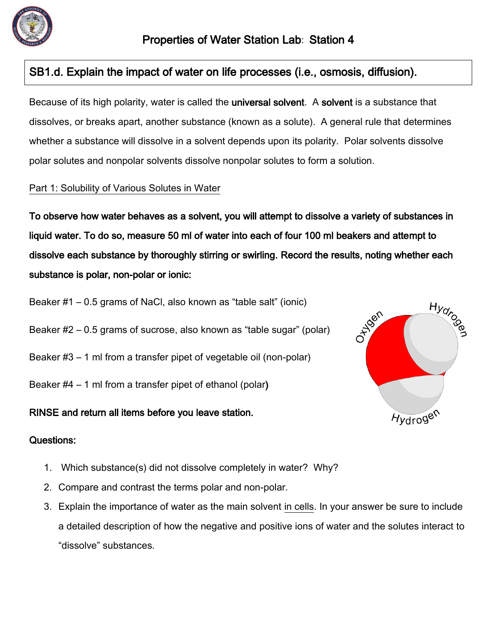

Because of its high polarity, water is called the **universal solvent**. A **solvent** is a substance that dissolves, or breaks apart, another substance (known as a solute). A general rule that determines whether a substance will dissolve in a solvent depends upon its polarity. Polar solvents dissolve polar solutes and nonpolar solvents dissolve nonpolar solutes to form a solution.

#### Part 1: Solubility of Various Solutes in Water

To observe how water behaves as a solvent, you will attempt to dissolve a variety of substances in liquid water. To do so, measure 50 ml of water into each of four 100 ml beakers and attempt to dissolve each substance by thoroughly stirring or swirling. Record the results, noting whether each substance is polar, non-polar or ionic:

- Beaker #1 0.5 grams of NaCl, also known as "table salt" (ionic)
- Beaker #2 0.5 grams of sucrose, also known as "table sugar" (polar)
- Beaker #3 1 ml from a transfer pipet of vegetable oil (non-polar)
- Beaker #4 1 ml from a transfer pipet of ethanol (polar)

#### RINSE and return all items before you leave station.



#### Questions:

- 1. Which substance(s) did not dissolve completely in water? Why?
- 2. Compare and contrast the terms polar and non-polar.
- 3. Explain the importance of water as the main solvent in cells. In your answer be sure to include a detailed description of how the negative and positive ions of water and the solutes interact to "dissolve" substances.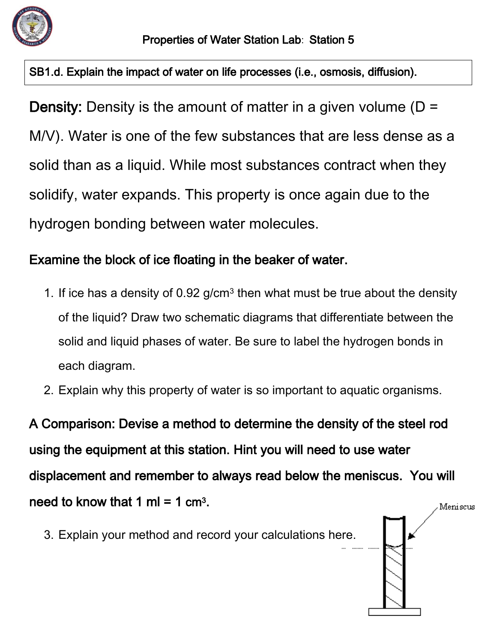

**Density:** Density is the amount of matter in a given volume ( $D =$ M/V). Water is one of the few substances that are less dense as a solid than as a liquid. While most substances contract when they solidify, water expands. This property is once again due to the hydrogen bonding between water molecules.

# Examine the block of ice floating in the beaker of water.

- 1. If ice has a density of  $0.92$  g/cm<sup>3</sup> then what must be true about the density of the liquid? Draw two schematic diagrams that differentiate between the solid and liquid phases of water. Be sure to label the hydrogen bonds in each diagram.
- 2. Explain why this property of water is so important to aquatic organisms.

A Comparison: Devise a method to determine the density of the steel rod using the equipment at this station. Hint you will need to use water displacement and remember to always read below the meniscus. You will need to know that 1 ml = 1  $\text{cm}^3$ . Meniscus

3. Explain your method and record your calculations here.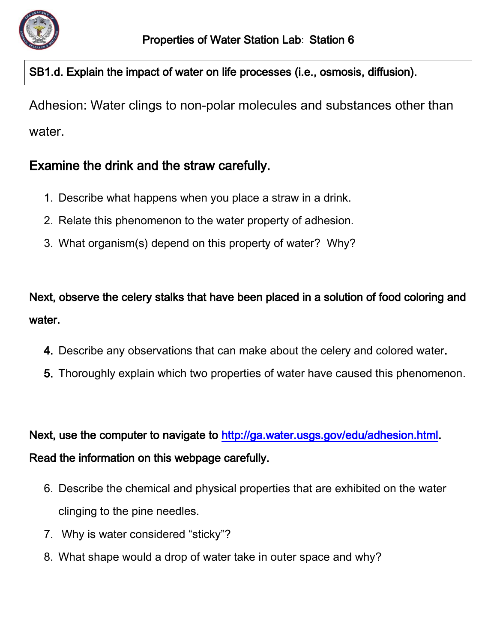

Adhesion: Water clings to non-polar molecules and substances other than water.

# Examine the drink and the straw carefully.

- 1. Describe what happens when you place a straw in a drink.
- 2. Relate this phenomenon to the water property of adhesion.
- 3. What organism(s) depend on this property of water? Why?

Next, observe the celery stalks that have been placed in a solution of food coloring and water.

- 4. Describe any observations that can make about the celery and colored water.
- 5. Thoroughly explain which two properties of water have caused this phenomenon.

Next, use the computer to navigate to [http://ga.water.usgs.gov/edu/adhesion.html.](http://ga.water.usgs.gov/edu/adhesion.html) Read the information on this webpage carefully.

- 6. Describe the chemical and physical properties that are exhibited on the water clinging to the pine needles.
- 7. Why is water considered "sticky"?
- 8. What shape would a drop of water take in outer space and why?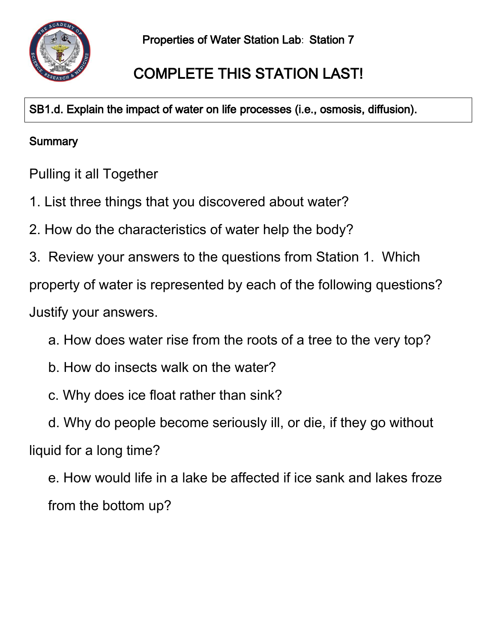

# COMPLETE THIS STATION LAST!

SB1.d. Explain the impact of water on life processes (i.e., osmosis, diffusion).

# **Summary**

Pulling it all Together

- 1. List three things that you discovered about water?
- 2. How do the characteristics of water help the body?
- 3. Review your answers to the questions from Station 1. Which

property of water is represented by each of the following questions?

Justify your answers.

- a. How does water rise from the roots of a tree to the very top?
- b. How do insects walk on the water?
- c. Why does ice float rather than sink?
- d. Why do people become seriously ill, or die, if they go without liquid for a long time?

e. How would life in a lake be affected if ice sank and lakes froze from the bottom up?